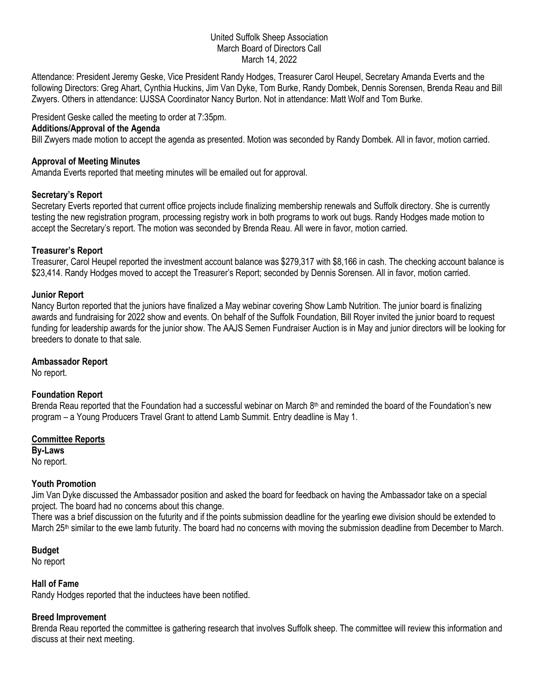## United Suffolk Sheep Association March Board of Directors Call March 14, 2022

Attendance: President Jeremy Geske, Vice President Randy Hodges, Treasurer Carol Heupel, Secretary Amanda Everts and the following Directors: Greg Ahart, Cynthia Huckins, Jim Van Dyke, Tom Burke, Randy Dombek, Dennis Sorensen, Brenda Reau and Bill Zwyers. Others in attendance: UJSSA Coordinator Nancy Burton. Not in attendance: Matt Wolf and Tom Burke.

President Geske called the meeting to order at 7:35pm.

### **Additions/Approval of the Agenda**

Bill Zwyers made motion to accept the agenda as presented. Motion was seconded by Randy Dombek. All in favor, motion carried.

### **Approval of Meeting Minutes**

Amanda Everts reported that meeting minutes will be emailed out for approval.

## **Secretary's Report**

Secretary Everts reported that current office projects include finalizing membership renewals and Suffolk directory. She is currently testing the new registration program, processing registry work in both programs to work out bugs. Randy Hodges made motion to accept the Secretary's report. The motion was seconded by Brenda Reau. All were in favor, motion carried.

#### **Treasurer's Report**

Treasurer, Carol Heupel reported the investment account balance was \$279,317 with \$8,166 in cash. The checking account balance is \$23,414. Randy Hodges moved to accept the Treasurer's Report; seconded by Dennis Sorensen. All in favor, motion carried.

#### **Junior Report**

Nancy Burton reported that the juniors have finalized a May webinar covering Show Lamb Nutrition. The junior board is finalizing awards and fundraising for 2022 show and events. On behalf of the Suffolk Foundation, Bill Royer invited the junior board to request funding for leadership awards for the junior show. The AAJS Semen Fundraiser Auction is in May and junior directors will be looking for breeders to donate to that sale.

#### **Ambassador Report**

No report.

## **Foundation Report**

Brenda Reau reported that the Foundation had a successful webinar on March 8th and reminded the board of the Foundation's new program – a Young Producers Travel Grant to attend Lamb Summit. Entry deadline is May 1.

#### **Committee Reports**

**By-Laws** No report.

## **Youth Promotion**

Jim Van Dyke discussed the Ambassador position and asked the board for feedback on having the Ambassador take on a special project. The board had no concerns about this change.

There was a brief discussion on the futurity and if the points submission deadline for the yearling ewe division should be extended to March 25<sup>th</sup> similar to the ewe lamb futurity. The board had no concerns with moving the submission deadline from December to March.

#### **Budget**

No report

## **Hall of Fame**

Randy Hodges reported that the inductees have been notified.

## **Breed Improvement**

Brenda Reau reported the committee is gathering research that involves Suffolk sheep. The committee will review this information and discuss at their next meeting.